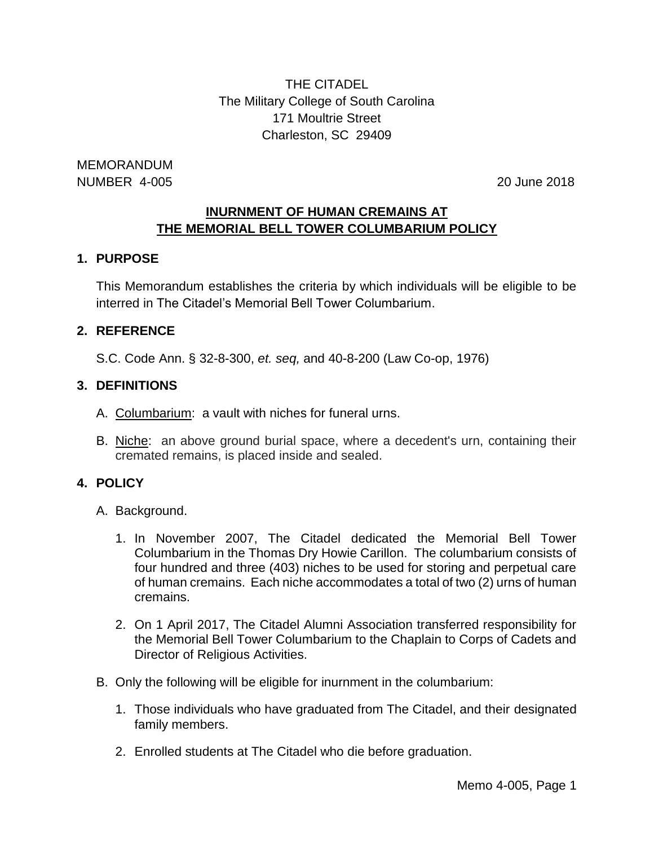THE CITADEL The Military College of South Carolina 171 Moultrie Street Charleston, SC 29409

MEMORANDUM NUMBER 4-005 20 June 2018

# **INURNMENT OF HUMAN CREMAINS AT THE MEMORIAL BELL TOWER COLUMBARIUM POLICY**

# **1. PURPOSE**

This Memorandum establishes the criteria by which individuals will be eligible to be interred in The Citadel's Memorial Bell Tower Columbarium.

#### **2. REFERENCE**

S.C. Code Ann. § 32-8-300, *et. seq,* and 40-8-200 (Law Co-op, 1976)

# **3. DEFINITIONS**

- A. Columbarium: a vault with niches for funeral urns.
- B. Niche: an above ground burial space, where a decedent's urn, containing their cremated remains, is placed inside and sealed.

# **4. POLICY**

- A. Background.
	- 1. In November 2007, The Citadel dedicated the Memorial Bell Tower Columbarium in the Thomas Dry Howie Carillon. The columbarium consists of four hundred and three (403) niches to be used for storing and perpetual care of human cremains. Each niche accommodates a total of two (2) urns of human cremains.
	- 2. On 1 April 2017, The Citadel Alumni Association transferred responsibility for the Memorial Bell Tower Columbarium to the Chaplain to Corps of Cadets and Director of Religious Activities.
- B. Only the following will be eligible for inurnment in the columbarium:
	- 1. Those individuals who have graduated from The Citadel, and their designated family members.
	- 2. Enrolled students at The Citadel who die before graduation.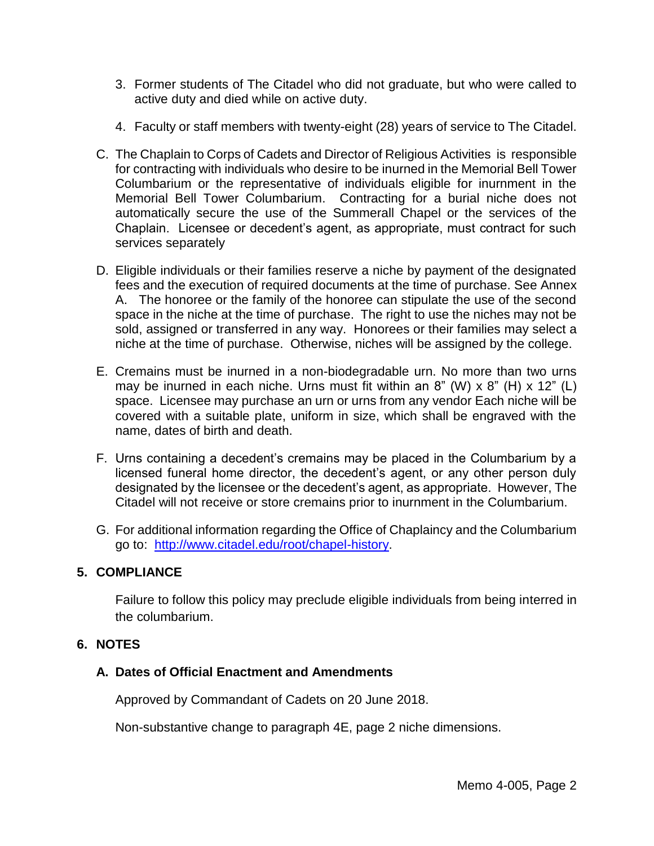- 3. Former students of The Citadel who did not graduate, but who were called to active duty and died while on active duty.
- 4. Faculty or staff members with twenty-eight (28) years of service to The Citadel.
- C. The Chaplain to Corps of Cadets and Director of Religious Activities is responsible for contracting with individuals who desire to be inurned in the Memorial Bell Tower Columbarium or the representative of individuals eligible for inurnment in the Memorial Bell Tower Columbarium. Contracting for a burial niche does not automatically secure the use of the Summerall Chapel or the services of the Chaplain. Licensee or decedent's agent, as appropriate, must contract for such services separately
- D. Eligible individuals or their families reserve a niche by payment of the designated fees and the execution of required documents at the time of purchase. See Annex A. The honoree or the family of the honoree can stipulate the use of the second space in the niche at the time of purchase. The right to use the niches may not be sold, assigned or transferred in any way. Honorees or their families may select a niche at the time of purchase. Otherwise, niches will be assigned by the college.
- E. Cremains must be inurned in a non-biodegradable urn. No more than two urns may be inurned in each niche. Urns must fit within an  $8''$  (W)  $\times$   $8''$  (H)  $\times$  12" (L) space. Licensee may purchase an urn or urns from any vendor Each niche will be covered with a suitable plate, uniform in size, which shall be engraved with the name, dates of birth and death.
- F. Urns containing a decedent's cremains may be placed in the Columbarium by a licensed funeral home director, the decedent's agent, or any other person duly designated by the licensee or the decedent's agent, as appropriate. However, The Citadel will not receive or store cremains prior to inurnment in the Columbarium.
- G. For additional information regarding the Office of Chaplaincy and the Columbarium go to: [http://www.citadel.edu/root/chapel-history.](http://www.citadel.edu/root/chapel-history)

# **5. COMPLIANCE**

Failure to follow this policy may preclude eligible individuals from being interred in the columbarium.

#### **6. NOTES**

# **A. Dates of Official Enactment and Amendments**

Approved by Commandant of Cadets on 20 June 2018.

Non-substantive change to paragraph 4E, page 2 niche dimensions.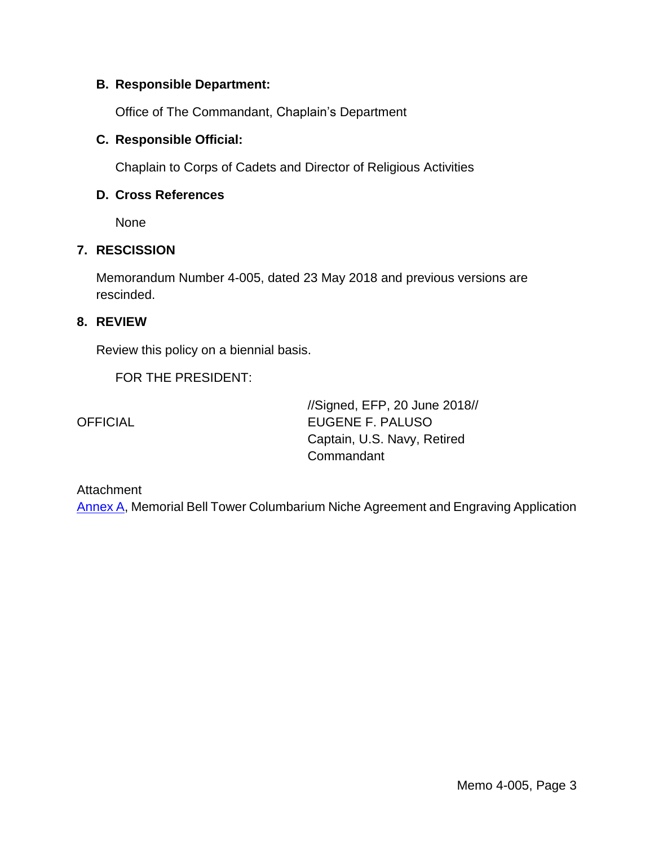### **B. Responsible Department:**

Office of The Commandant, Chaplain's Department

# **C. Responsible Official:**

Chaplain to Corps of Cadets and Director of Religious Activities

# **D. Cross References**

None

#### **7. RESCISSION**

Memorandum Number 4-005, dated 23 May 2018 and previous versions are rescinded.

#### **8. REVIEW**

Review this policy on a biennial basis.

FOR THE PRESIDENT:

//Signed, EFP, 20 June 2018// OFFICIAL EUGENE F. PALUSO Captain, U.S. Navy, Retired **Commandant** 

#### **Attachment**

[Annex A,](#page-3-0) Memorial Bell Tower Columbarium Niche Agreement and Engraving Application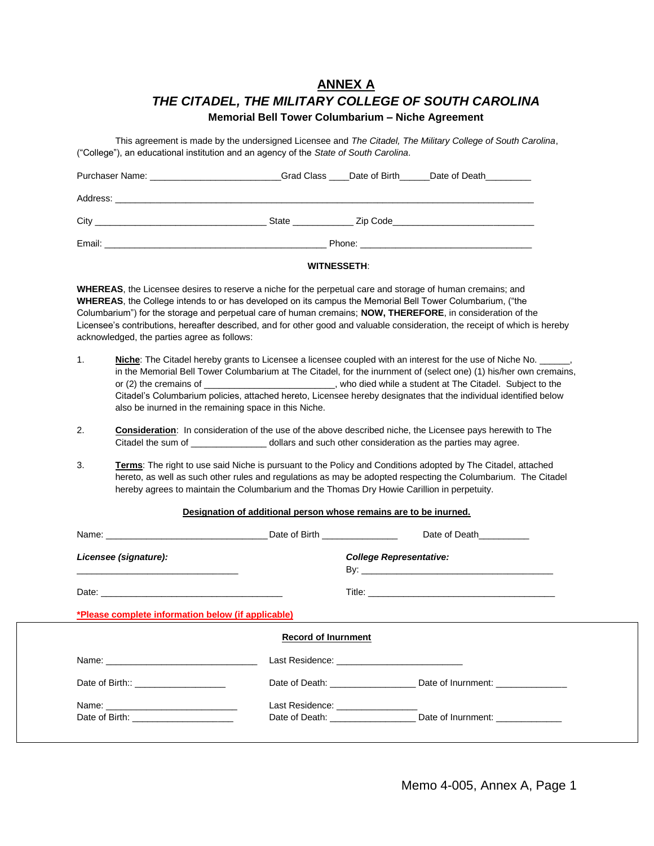# **ANNEX A** *THE CITADEL, THE MILITARY COLLEGE OF SOUTH CAROLINA*

<span id="page-3-0"></span>**Memorial Bell Tower Columbarium – Niche Agreement**

This agreement is made by the undersigned Licensee and *The Citadel, The Military College of South Carolina*, ("College"), an educational institution and an agency of the *State of South Carolina*.

| Purchaser Name: Name: Name and Allen Manual Allen Manual Allen Manual Allen Manual Allen Manual Allen Manual A |  |  | Grad Class Date of Birth Date of Death                                       |  |
|----------------------------------------------------------------------------------------------------------------|--|--|------------------------------------------------------------------------------|--|
|                                                                                                                |  |  |                                                                              |  |
| City                                                                                                           |  |  | State <b>Example 25</b> Zip Code <b>Contract 25</b> State <b>Contract 25</b> |  |
| Email:                                                                                                         |  |  |                                                                              |  |

#### **WITNESSETH**:

**WHEREAS**, the Licensee desires to reserve a niche for the perpetual care and storage of human cremains; and **WHEREAS**, the College intends to or has developed on its campus the Memorial Bell Tower Columbarium, ("the Columbarium") for the storage and perpetual care of human cremains; **NOW, THEREFORE**, in consideration of the Licensee's contributions, hereafter described, and for other good and valuable consideration, the receipt of which is hereby acknowledged, the parties agree as follows:

- 1. **Niche**: The Citadel hereby grants to Licensee a licensee coupled with an interest for the use of Niche No. in the Memorial Bell Tower Columbarium at The Citadel, for the inurnment of (select one) (1) his/her own cremains, or (2) the cremains of \_\_\_\_\_\_\_\_\_\_\_\_\_\_\_\_\_\_\_, who died while a student at The Citadel. Subject to the Citadel's Columbarium policies, attached hereto, Licensee hereby designates that the individual identified below also be inurned in the remaining space in this Niche.
- 2. **Consideration**: In consideration of the use of the above described niche, the Licensee pays herewith to The Citadel the sum of  $\Box$  dollars and such other consideration as the parties may agree.
- 3. **Terms**: The right to use said Niche is pursuant to the Policy and Conditions adopted by The Citadel, attached hereto, as well as such other rules and regulations as may be adopted respecting the Columbarium. The Citadel hereby agrees to maintain the Columbarium and the Thomas Dry Howie Carillion in perpetuity.

#### **Designation of additional person whose remains are to be inurned.**

|                                                                                                                                                                                                                               |                                   | Date of Death                     |  |
|-------------------------------------------------------------------------------------------------------------------------------------------------------------------------------------------------------------------------------|-----------------------------------|-----------------------------------|--|
| Licensee (signature):                                                                                                                                                                                                         |                                   | <b>College Representative:</b>    |  |
|                                                                                                                                                                                                                               |                                   |                                   |  |
| *Please complete information below (if applicable)                                                                                                                                                                            |                                   |                                   |  |
|                                                                                                                                                                                                                               | <b>Record of Inurnment</b>        |                                   |  |
| Name: Name: Name: Name: Name: Name: Name: Name: Name: Name: Name: Name: Name: Name: Name: Name: Name: Name: Name: Name: Name: Name: Name: Name: Name: Name: Name: Name: Name: Name: Name: Name: Name: Name: Name: Name: Name: |                                   |                                   |  |
|                                                                                                                                                                                                                               |                                   |                                   |  |
| Date of Birth:: ____________________                                                                                                                                                                                          |                                   | Date of Death: Date of Inurnment: |  |
|                                                                                                                                                                                                                               | Last Residence: _________________ |                                   |  |